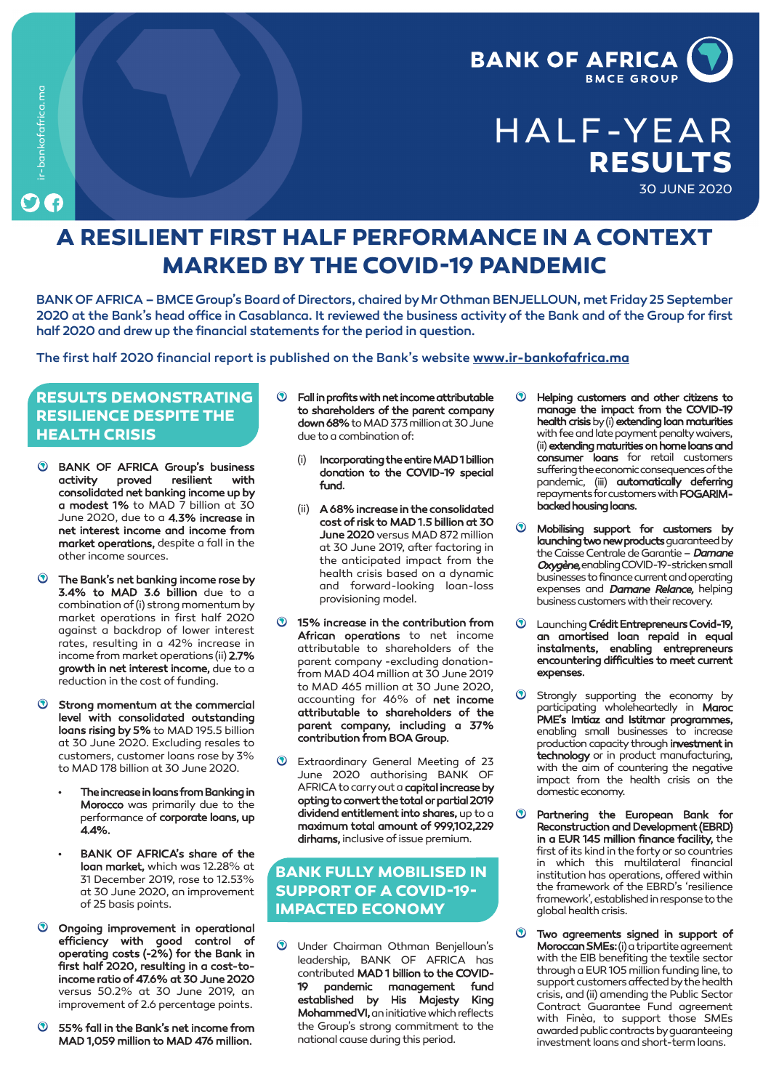

# **HALF-YEAR RESULTS 30 JUNE 2020**

## **A RESILIENT FIRST HALF PERFORMANCE IN A CONTEXT MARKED BY THE COVID-19 PANDEMIC**

BANK OF AFRICA – BMCE Group's Board of Directors, chaired by Mr Othman BENJELLOUN, met Friday 25 September 2020 at the Bank's head office in Casablanca. It reviewed the business activityof the Bank and of the Group for first half 2020 and drewup the financial statements for the period in question.

The first half 2020 financial report is published on the Bank's website **www.ir-bankofafrica.ma**

#### **RESULTS DEMONSTRATING RESILIENCE DESPITE THE HEALTH CRISIS**

**ir-bankofafrica.ma**

ir-bankofafrica.ma

- **BANK OF AFRICA Group's business activity proved resilient with consolidated net banking income up by a modest 1% to MAD 7 billion at 30 June 2020, due to a 4.3% increase in net interest income and income from market operations, despite a fall in the otherincome sources.**
- $\odot$ **The Bank's net banking income rose by 3.4% to MAD 3.6 billion due to a combination of (i) strong momentum by market operations in first half 2020 against a backdrop of lower interest rates, resulting in a 42% increase in income frommarketoperations (ii) 2.7% growth in net interest income, due to a reduction in the cost of funding.**
- $\odot$ **Strong momentum at the commercial level with consolidated outstanding loans rising by 5% to MAD 195.5 billion at 30 June 2020. Excluding resales to customers, customer loans rose by 3% to MAD 178 billion at 30 June 2020.**
	- **• The increase in loans from Banking in Morocco was primarily due to the performance of corporate loans, up 4.4%.**
	- **• BANK OF AFRICA's share of the loan market, which was 12.28% at 31 December 2019, rose to 12.53% at 30 June 2020, an improvement of 25 basis points.**
- **Ongoing improvement in operational efficiency with good control of operating costs (-2%) for the Bank in first half 2020, resulting in a cost-toincome ratio of 47.6% at 30 June 2020 versus 50.2% at 30 June 2019, an improvement of 2.6 percentage points.**
- $\odot$ **55% fall in the Bank's net income from MAD 1,059 million to MAD 476 million.**
- **Fall in profits with net income attributable to shareholders of the parent company down 68%toMAD373millionat30June due toacombinationof:**
	- **(i) Incorporating the entire MAD 1 billion donation to the COVID-19 special fund.**
	- **(ii) A 68% increase in the consolidated cost of risk to MAD 1.5 billion at 30 June 2020versus MAD 872 million at 30 June 2019, after factoring in the anticipated impact from the health crisis based on a dynamic and forward-looking loan-loss provisioning model.**
- **15% increase in the contribution from African operations to net income attributable to shareholders of the parent company -excluding donationfrom MAD 404 million at 30 June 2019 to MAD 465 million at 30 June 2020, accounting for 46% of net income attributable to shareholders of the parent company, including a 37% contribution from BOA Group.**
- **Extraordinary General Meeting of 23 June 2020 authorising BANK OF** AFRICA to carry out a **capital increase by opting to convert the total or partial 2019 dividend entitlement into shares, up to a maximum total amount of 999,102,229 dirhams, inclusive of issue premium.**

### **BANK FULLY MOBILISED IN SUPPORT OF A COVID-19- IMPACTED ECONOMY**

 $\odot$ **Under Chairman Othman Benjelloun's leadership, BANK OF AFRICA has contributed MAD 1 billion to the COVID-19 pandemic management fund established by His Majesty King Mohammed VI**, an initiative which reflects **the Group's strong commitment to the national causeduringthisperiod.**

- **Helping customers and other citizens to manage the impact from the COVID-19 health crisisby(i) extending loan maturities** with fee and late payment penalty waivers, **(ii) extending maturities on home loans and consumer loans for retail customers sufferingtheeconomicconsequencesofthe pandemic, (iii) automatically deferring** repayments for customers with **FOGARIMbacked housing loans.**
- **Mobilising support for customers by launching two new products** guaranteed by **theCaisseCentraledeGarantie– Damane Oxygène,enablingCOVID-19-strickensmall businessestofinancecurrentandoperating expenses and Damane Relance, helping business customers with their recovery.**
- **LaunchingCrédit Entrepreneurs Covid-19, an amortised loan repaid in equal instalments, enabling entrepreneurs encountering difficulties to meet current expenses.**
- **Strongly supporting the economy by participating wholeheartedly in Maroc PME's Imtiaz and Istitmar programmes, enabling small businesses to increase production capacitythrough investment in technology or in product manufacturing, with the aim of countering the negative impact from the health crisis on the domesticeconomy.**
- $\bullet$ **Partnering the European Bank for Reconstruction and Development (EBRD) in a EUR 145 million finance facility, the first of its kind in the fortyor so countries in which this multilateral financial institution has operations, offered within the framework of the EBRD's 'resilience framework',establishedinresponsetothe global health crisis.**
- $\odot$ **Two agreements signed in support of Moroccan SMEs:** (i) a tripartite agreement **with the EIB benefiting the textile sector throughaEUR105millionfundingline, to** support customers affected by the health **crisis, and (ii) amending the Public Sector Contract Guarantee Fund agreement with Finèa, to support those SMEs awardedpubliccontractsbyguaranteeing investment loansandshort-termloans.**